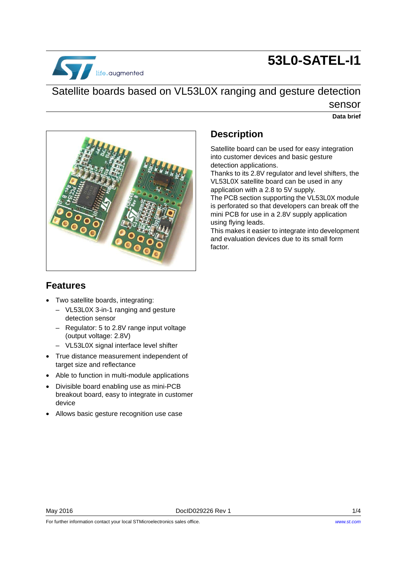# **53L0-SATEL-I1**



# Satellite boards based on VL53L0X ranging and gesture detection sensor

# **Data brief**



# **Description**

Satellite board can be used for easy integration into customer devices and basic gesture detection applications.

Thanks to its 2.8V regulator and level shifters, the VL53L0X satellite board can be used in any application with a 2.8 to 5V supply.

The PCB section supporting the VL53L0X module is perforated so that developers can break off the mini PCB for use in a 2.8V supply application using flying leads.

This makes it easier to integrate into development and evaluation devices due to its small form factor.

## **Features**

- Two satellite boards, integrating:
	- VL53L0X 3-in-1 ranging and gesture detection sensor
	- Regulator: 5 to 2.8V range input voltage (output voltage: 2.8V)
	- VL53L0X signal interface level shifter
- True distance measurement independent of target size and reflectance
- Able to function in multi-module applications
- Divisible board enabling use as mini-PCB breakout board, easy to integrate in customer device
- Allows basic gesture recognition use case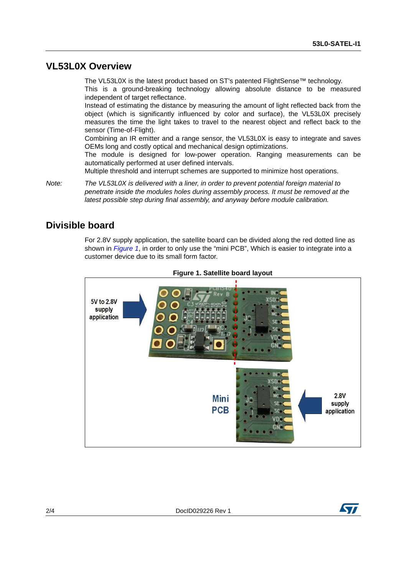#### **VL53L0X Overview**

The VL53L0X is the latest product based on ST's patented FlightSense™ technology. This is a ground-breaking technology allowing absolute distance to be measured independent of target reflectance.

Instead of estimating the distance by measuring the amount of light reflected back from the object (which is significantly influenced by color and surface), the VL53L0X precisely measures the time the light takes to travel to the nearest object and reflect back to the sensor (Time-of-Flight).

Combining an IR emitter and a range sensor, the VL53L0X is easy to integrate and saves OEMs long and costly optical and mechanical design optimizations.

The module is designed for low-power operation. Ranging measurements can be automatically performed at user defined intervals.

Multiple threshold and interrupt schemes are supported to minimize host operations.

*Note: The VL53L0X is delivered with a liner, in order to prevent potential foreign material to penetrate inside the modules holes during assembly process. It must be removed at the latest possible step during final assembly, and anyway before module calibration.*

#### **Divisible board**

For 2.8V supply application, the satellite board can be divided along the red dotted line as shown in *[Figure 1](#page-1-0)*, in order to only use the "mini PCB", Which is easier to integrate into a customer device due to its small form factor.

<span id="page-1-0"></span>



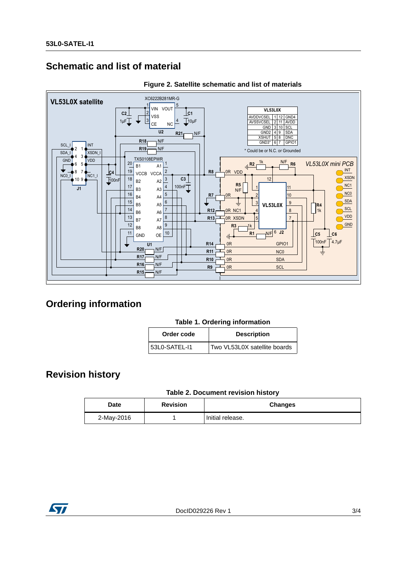# **Schematic and list of material**





## **Ordering information**

| Order code      | <b>Description</b>           |
|-----------------|------------------------------|
| l 53L0-SATEL-I1 | Two VL53L0X satellite boards |

## **Revision history**

#### Table 2. Document revision history

| <b>Date</b> | <b>Revision</b> | <b>Changes</b>   |
|-------------|-----------------|------------------|
| 2-May-2016  |                 | Initial release. |